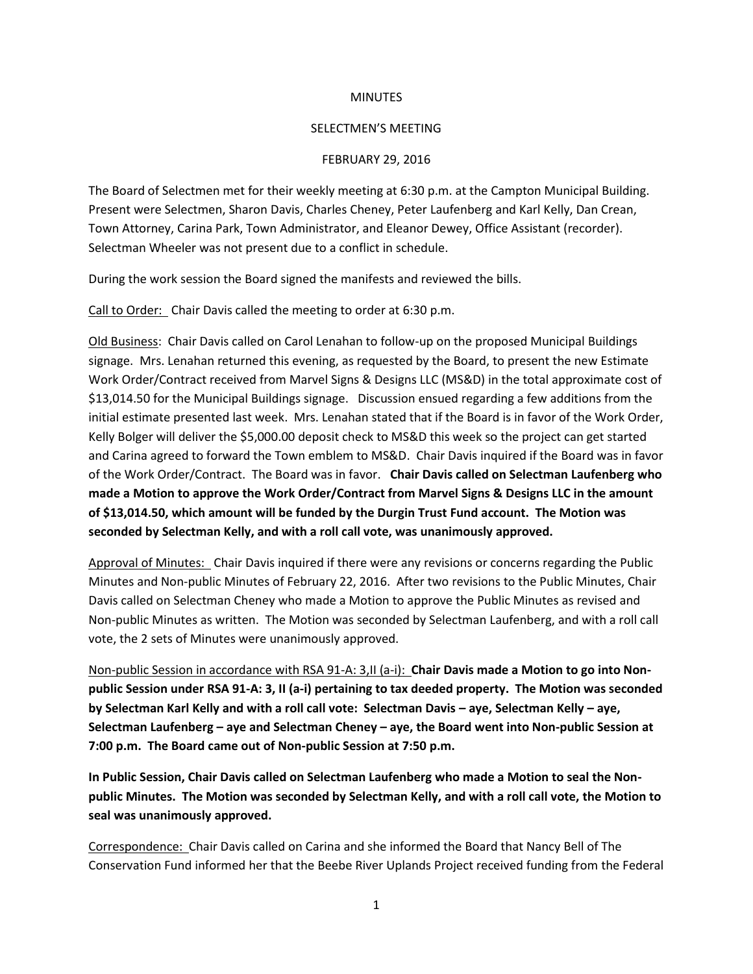## **MINUTES**

## SELECTMEN'S MEETING

## FEBRUARY 29, 2016

The Board of Selectmen met for their weekly meeting at 6:30 p.m. at the Campton Municipal Building. Present were Selectmen, Sharon Davis, Charles Cheney, Peter Laufenberg and Karl Kelly, Dan Crean, Town Attorney, Carina Park, Town Administrator, and Eleanor Dewey, Office Assistant (recorder). Selectman Wheeler was not present due to a conflict in schedule.

During the work session the Board signed the manifests and reviewed the bills.

Call to Order: Chair Davis called the meeting to order at 6:30 p.m.

Old Business: Chair Davis called on Carol Lenahan to follow-up on the proposed Municipal Buildings signage. Mrs. Lenahan returned this evening, as requested by the Board, to present the new Estimate Work Order/Contract received from Marvel Signs & Designs LLC (MS&D) in the total approximate cost of \$13,014.50 for the Municipal Buildings signage. Discussion ensued regarding a few additions from the initial estimate presented last week. Mrs. Lenahan stated that if the Board is in favor of the Work Order, Kelly Bolger will deliver the \$5,000.00 deposit check to MS&D this week so the project can get started and Carina agreed to forward the Town emblem to MS&D. Chair Davis inquired if the Board was in favor of the Work Order/Contract. The Board was in favor. **Chair Davis called on Selectman Laufenberg who made a Motion to approve the Work Order/Contract from Marvel Signs & Designs LLC in the amount of \$13,014.50, which amount will be funded by the Durgin Trust Fund account. The Motion was seconded by Selectman Kelly, and with a roll call vote, was unanimously approved.** 

Approval of Minutes: Chair Davis inquired if there were any revisions or concerns regarding the Public Minutes and Non-public Minutes of February 22, 2016. After two revisions to the Public Minutes, Chair Davis called on Selectman Cheney who made a Motion to approve the Public Minutes as revised and Non-public Minutes as written. The Motion was seconded by Selectman Laufenberg, and with a roll call vote, the 2 sets of Minutes were unanimously approved.

Non-public Session in accordance with RSA 91-A: 3,II (a-i): **Chair Davis made a Motion to go into Nonpublic Session under RSA 91-A: 3, II (a-i) pertaining to tax deeded property. The Motion was seconded by Selectman Karl Kelly and with a roll call vote: Selectman Davis – aye, Selectman Kelly – aye, Selectman Laufenberg – aye and Selectman Cheney – aye, the Board went into Non-public Session at 7:00 p.m. The Board came out of Non-public Session at 7:50 p.m.** 

**In Public Session, Chair Davis called on Selectman Laufenberg who made a Motion to seal the Nonpublic Minutes. The Motion was seconded by Selectman Kelly, and with a roll call vote, the Motion to seal was unanimously approved.** 

Correspondence: Chair Davis called on Carina and she informed the Board that Nancy Bell of The Conservation Fund informed her that the Beebe River Uplands Project received funding from the Federal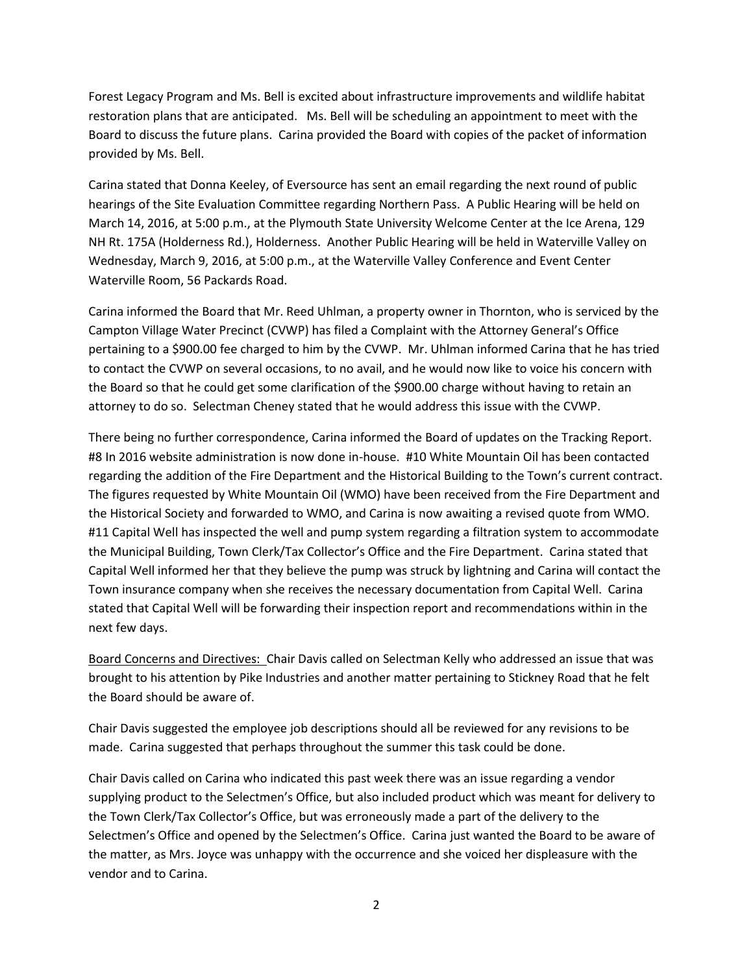Forest Legacy Program and Ms. Bell is excited about infrastructure improvements and wildlife habitat restoration plans that are anticipated. Ms. Bell will be scheduling an appointment to meet with the Board to discuss the future plans. Carina provided the Board with copies of the packet of information provided by Ms. Bell.

Carina stated that Donna Keeley, of Eversource has sent an email regarding the next round of public hearings of the Site Evaluation Committee regarding Northern Pass. A Public Hearing will be held on March 14, 2016, at 5:00 p.m., at the Plymouth State University Welcome Center at the Ice Arena, 129 NH Rt. 175A (Holderness Rd.), Holderness. Another Public Hearing will be held in Waterville Valley on Wednesday, March 9, 2016, at 5:00 p.m., at the Waterville Valley Conference and Event Center Waterville Room, 56 Packards Road.

Carina informed the Board that Mr. Reed Uhlman, a property owner in Thornton, who is serviced by the Campton Village Water Precinct (CVWP) has filed a Complaint with the Attorney General's Office pertaining to a \$900.00 fee charged to him by the CVWP. Mr. Uhlman informed Carina that he has tried to contact the CVWP on several occasions, to no avail, and he would now like to voice his concern with the Board so that he could get some clarification of the \$900.00 charge without having to retain an attorney to do so. Selectman Cheney stated that he would address this issue with the CVWP.

There being no further correspondence, Carina informed the Board of updates on the Tracking Report. #8 In 2016 website administration is now done in-house. #10 White Mountain Oil has been contacted regarding the addition of the Fire Department and the Historical Building to the Town's current contract. The figures requested by White Mountain Oil (WMO) have been received from the Fire Department and the Historical Society and forwarded to WMO, and Carina is now awaiting a revised quote from WMO. #11 Capital Well has inspected the well and pump system regarding a filtration system to accommodate the Municipal Building, Town Clerk/Tax Collector's Office and the Fire Department. Carina stated that Capital Well informed her that they believe the pump was struck by lightning and Carina will contact the Town insurance company when she receives the necessary documentation from Capital Well. Carina stated that Capital Well will be forwarding their inspection report and recommendations within in the next few days.

Board Concerns and Directives: Chair Davis called on Selectman Kelly who addressed an issue that was brought to his attention by Pike Industries and another matter pertaining to Stickney Road that he felt the Board should be aware of.

Chair Davis suggested the employee job descriptions should all be reviewed for any revisions to be made. Carina suggested that perhaps throughout the summer this task could be done.

Chair Davis called on Carina who indicated this past week there was an issue regarding a vendor supplying product to the Selectmen's Office, but also included product which was meant for delivery to the Town Clerk/Tax Collector's Office, but was erroneously made a part of the delivery to the Selectmen's Office and opened by the Selectmen's Office. Carina just wanted the Board to be aware of the matter, as Mrs. Joyce was unhappy with the occurrence and she voiced her displeasure with the vendor and to Carina.